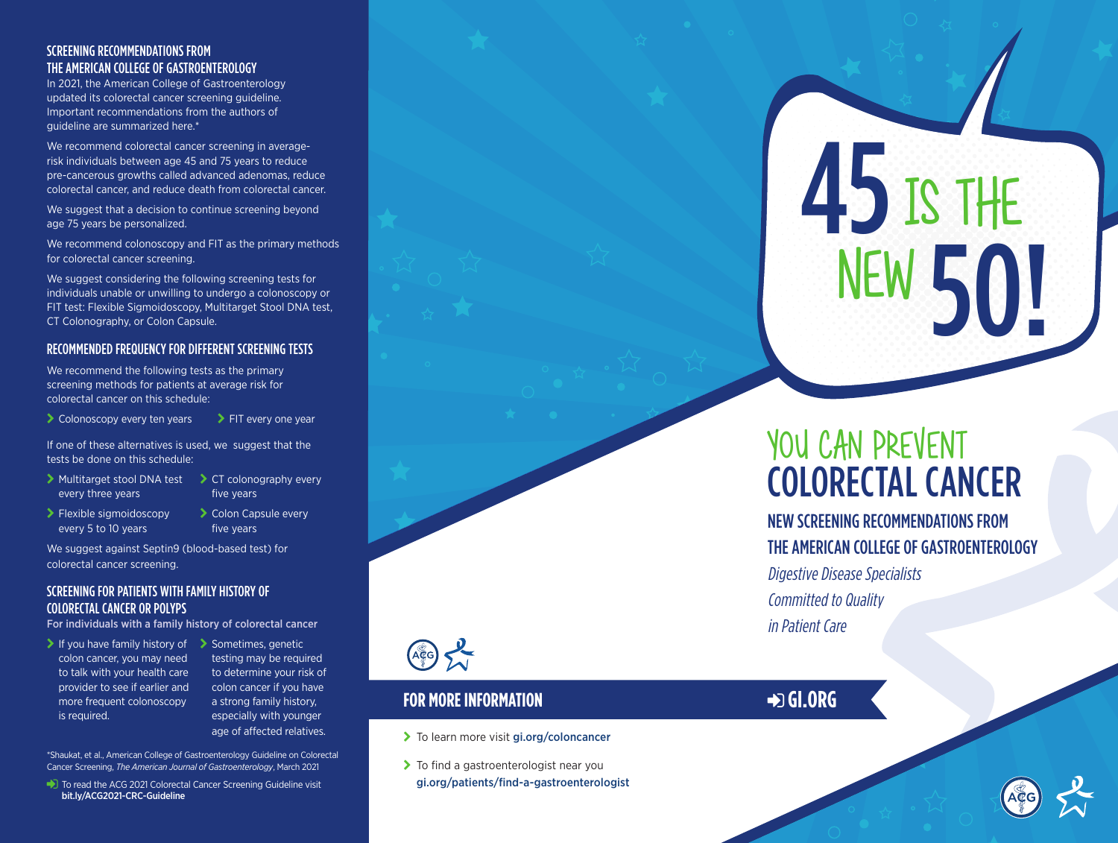## SCREENING RECOMMENDATIONS FROM THE AMERICAN COLLEGE OF GASTROENTEROLOGY

In 2021, the American College of Gastroenterology updated its colorectal cancer screening guideline. Important recommendations from the authors of guideline are summarized here.\*

We recommend colorectal cancer screening in averagerisk individuals between age 45 and 75 years to reduce pre-cancerous growths called advanced adenomas, reduce colorectal cancer, and reduce death from colorectal cancer.

We suggest that a decision to continue screening beyond age 75 years be personalized.

We recommend colonoscopy and FIT as the primary methods for colorectal cancer screening.

We suggest considering the following screening tests for individuals unable or unwilling to undergo a colonoscopy or FIT test: Flexible Sigmoidoscopy, Multitarget Stool DNA test, CT Colonography, or Colon Capsule.

## RECOMMENDED FREQUENCY FOR DIFFERENT SCREENING TESTS

We recommend the following tests as the primary screening methods for patients at average risk for colorectal cancer on this schedule:

◆ Colonoscopy every ten years → ▶ FIT every one year

If one of these alternatives is used, we suggest that the tests be done on this schedule:

▶ Multitarget stool DNA test ▶ CT colonography every every three years five years

- $\blacktriangleright$  Flexible sigmoidoscopy every 5 to 10 years
- **▶ Colon Capsule every** five years

We suggest against Septin9 (blood-based test) for colorectal cancer screening.

## SCREENING FOR PATIENTS WITH FAMILY HISTORY OF COLORECTAL CANCER OR POLYPS

For individuals with a family history of colorectal cancer

If you have family history of  $\longrightarrow$  Sometimes, genetic colon cancer, you may need to talk with your health care provider to see if earlier and more frequent colonoscopy is required.

testing may be required to determine your risk of colon cancer if you have a strong family history, especially with younger age of affected relatives.

\*Shaukat, et al., American College of Gastroenterology Guideline on Colorectal Cancer Screening, *The American Journal of Gastroenterology*, March 2021

To read the ACG 2021 Colorectal Cancer Screening Guideline visit gi.org/patients/find-a-gastroenterologist bit.ly/ACG2021-CRC-Guideline



## **FOR MORE INFORMATION CONSUMING THE CONSUMING TO A SET OF A SET OF A SET OF A SET OF A SET OF A SET OF A SET OF A SET OF A SET OF A SET OF A SET OF A SET OF A SET OF A SET OF A SET OF A SET OF A SET OF A SET OF A SET OF**

- > To learn more visit gi.org/coloncancer
- > To find a gastroenterologist near you

# 45 IS THE NEW 50!

# YOU CAN PREVENT COLORECTAL CANCER

NEW SCREENING RECOMMENDATIONS FROM THE AMERICAN COLLEGE OF GASTROENTEROLOGY Digestive Disease Specialists Committed to Quality in Patient Care